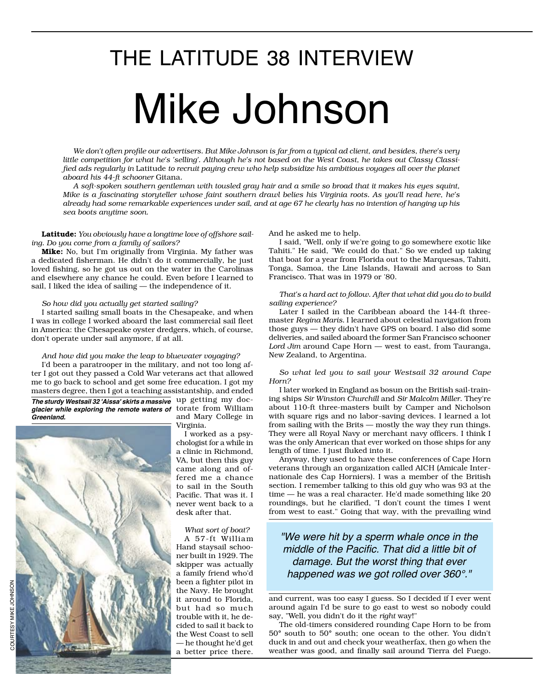# Mike Johnson THE LATITUDE 38 INTERVIEW

*We don't often profile our advertisers. But Mike Johnson is far from a typical ad client, and besides, there's very little competition for what he's 'selling'. Although he's not based on the West Coast, he takes out Classy Classified ads regularly in* Latitude *to recruit paying crew who help subsidize his ambitious voyages all over the planet aboard his 44-ft schooner* Gitana*.* 

*A soft-spoken southern gentleman with tousled gray hair and a smile so broad that it makes his eyes squint, Mike is a fascinating storyteller whose faint southern drawl belies his Virginia roots. As you'll read here, he's already had some remarkable experiences under sail, and at age 67 he clearly has no intention of hanging up his sea boots anytime soon.*

Latitude: *You obviously have a longtime love of offshore sailing. Do you come from a family of sailors?*

Mike: No, but I'm originally from Virginia. My father was a dedicated fisherman. He didn't do it commercially, he just loved fishing, so he got us out on the water in the Carolinas and elsewhere any chance he could. Even before I learned to sail, I liked the idea of sailing — the independence of it.

### *So how did you actually get started sailing?*

I started sailing small boats in the Chesapeake, and when I was in college I worked aboard the last commercial sail fleet in America: the Chesapeake oyster dredgers, which, of course, don't operate under sail anymore, if at all.

### *And how did you make the leap to bluewater voyaging?*

I'd been a paratrooper in the military, and not too long after I got out they passed a Cold War veterans act that allowed me to go back to school and get some free education. I got my masters degree, then I got a teaching assistantship, and ended

up getting my doc-*The sturdy Westsail 32 'Aissa' skirts a massive*  glacier while exploring the remote waters of lorate from William *Greenland.*



and Mary College in Virginia.

I worked as a psychologist for a while in a clinic in Richmond, VA, but then this guy came along and offered me a chance to sail in the South Pacific. That was it. I never went back to a desk after that.

*What sort of boat?* A 57-ft William Hand staysail schooner built in 1929. The skipper was actually a family friend who'd been a fighter pilot in the Navy. He brought it around to Florida, but had so much trouble with it, he decided to sail it back to the West Coast to sell — he thought he'd get a better price there.

And he asked me to help.

I said, "Well, only if we're going to go somewhere exotic like Tahiti." He said, "We could do that." So we ended up taking that boat for a year from Florida out to the Marquesas, Tahiti, Tonga, Samoa, the Line Islands, Hawaii and across to San Francisco. That was in 1979 or '80.

*That's a hard act to follow. After that what did you do to build sailing experience?*

Later I sailed in the Caribbean aboard the 144-ft threemaster *Regina Maris.* I learned about celestial navigation from those guys — they didn't have GPS on board. I also did some deliveries, and sailed aboard the former San Francisco schooner *Lord Jim* around Cape Horn — west to east, from Tauranga, New Zealand, to Argentina.

*So what led you to sail your Westsail 32 around Cape Horn?*

I later worked in England as bosun on the British sail-training ships *Sir Winston Churchill* and *Sir Malcolm Miller*. They're about 110-ft three-masters built by Camper and Nicholson with square rigs and no labor-saving devices. I learned a lot from sailing with the Brits — mostly the way they run things. They were all Royal Navy or merchant navy officers. I think I was the only American that ever worked on those ships for any length of time. I just fluked into it.

Anyway, they used to have these conferences of Cape Horn veterans through an organization called AICH (Amicale Internationale des Cap Horniers). I was a member of the British section. I remember talking to this old guy who was 93 at the time — he was a real character. He'd made something like 20 roundings, but he clarified, "I don't count the times I went from west to east." Going that way, with the prevailing wind

### *"We were hit by a sperm whale once in the*  middle of the Pacific. That did a little bit of damage. But the worst thing that ever happened was we got rolled over 360°."

and current, was too easy I guess. So I decided if I ever went around again I'd be sure to go east to west so nobody could say, "Well, you didn't do it the *right* way!"

The old-timers considered rounding Cape Horn to be from 50*°* south to 50*°* south; one ocean to the other. You didn't duck in and out and check your weatherfax, then go when the weather was good, and finally sail around Tierra del Fuego.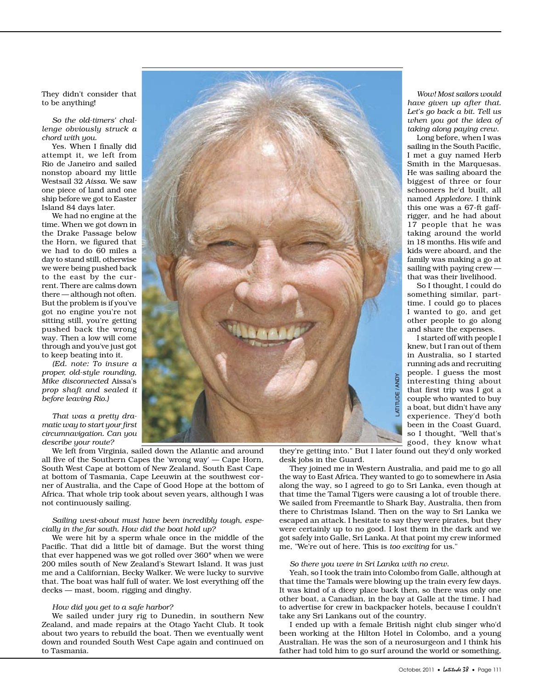They didn't consider that to be anything!

*So the old-timers' challenge obviously struck a chord with you.*

Yes. When I finally did attempt it, we left from Rio de Janeiro and sailed nonstop aboard my little Westsail 32 *Aissa*. We saw one piece of land and one ship before we got to Easter Island 84 days later.

We had no engine at the time. When we got down in the Drake Passage below the Horn, we figured that we had to do 60 miles a day to stand still, otherwise we were being pushed back to the east by the current. There are calms down there — although not often. But the problem is if you've got no engine you're not sitting still, you're getting pushed back the wrong way. Then a low will come through and you've just got to keep beating into it.

*(Ed. note: To insure a proper, old-style rounding, Mike disconnected* Aissa's *prop shaft and sealed it before leaving Rio.)*

*That was a pretty dramatic way to start your first circumnavigation. Can you describe your route?*

We left from Virginia, sailed down the Atlantic and around all five of the Southern Capes the 'wrong way' — Cape Horn, South West Cape at bottom of New Zealand, South East Cape at bottom of Tasmania, Cape Leeuwin at the southwest corner of Australia, and the Cape of Good Hope at the bottom of Africa. That whole trip took about seven years, although I was not continuously sailing.

### *Sailing west-about must have been incredibly tough, especially in the far south. How did the boat hold up?*

We were hit by a sperm whale once in the middle of the Pacific. That did a little bit of damage. But the worst thing that ever happened was we got rolled over 360*°* when we were 200 miles south of New Zealand's Stewart Island. It was just me and a Californian, Becky Walker. We were lucky to survive that. The boat was half full of water. We lost everything off the decks — mast, boom, rigging and dinghy.

### *How did you get to a safe harbor?*

We sailed under jury rig to Dunedin, in southern New Zealand, and made repairs at the Otago Yacht Club. It took about two years to rebuild the boat. Then we eventually went down and rounded South West Cape again and continued on to Tasmania.



they're getting into." But I later found out they'd only worked desk jobs in the Guard.

They joined me in Western Australia, and paid me to go all the way to East Africa. They wanted to go to somewhere in Asia along the way, so I agreed to go to Sri Lanka, even though at that time the Tamal Tigers were causing a lot of trouble there. We sailed from Freemantle to Shark Bay, Australia, then from there to Christmas Island. Then on the way to Sri Lanka we escaped an attack. I hesitate to say they were pirates, but they were certainly up to no good. I lost them in the dark and we got safely into Galle, Sri Lanka. At that point my crew informed me, "We're out of here. This is *too exciting* for us." Frequence in the same most that first trip was 1 good that first trip was 1 got a couple who wanted to buy a boat, but didn't have any experience. They'd both been in the Coast Guard, so 1 thought, "Well that's good, they

### *So there you were in Sri Lanka with no crew.*

Yeah, so I took the train into Colombo from Galle, although at that time the Tamals were blowing up the train every few days. It was kind of a dicey place back then, so there was only one other boat, a Canadian, in the bay at Galle at the time. I had to advertise for crew in backpacker hotels, because I couldn't take any Sri Lankans out of the country.

I ended up with a female British night club singer who'd been working at the Hilton Hotel in Colombo, and a young Australian. He was the son of a neurosurgeon and I think his father had told him to go surf around the world or something.

*Wow! Most sailors would have given up after that. Let's go back a bit. Tell us when you got the idea of taking along paying crew.*

Long before, when I was sailing in the South Pacific, I met a guy named Herb Smith in the Marquesas. He was sailing aboard the biggest of three or four schooners he'd built, all named *Appledore.* I think this one was a 67-ft gaffrigger, and he had about 17 people that he was taking around the world in 18 months. His wife and kids were aboard, and the family was making a go at sailing with paying crew that was their livelihood.

So I thought, I could do something similar, parttime. I could go to places I wanted to go, and get other people to go along and share the expenses.

I started off with people I knew, but I ran out of them in Australia, so I started running ads and recruiting people. I guess the most interesting thing about that first trip was I got a couple who wanted to buy a boat, but didn't have any experience. They'd both been in the Coast Guard, so I thought, "Well that's good, they know what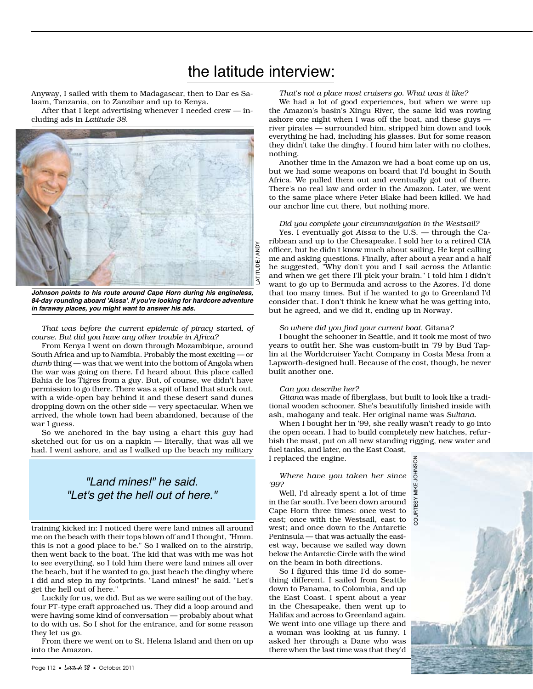# the latitude interview:

Anyway, I sailed with them to Madagascar, then to Dar es Salaam, Tanzania, on to Zanzibar and up to Kenya.

After that I kept advertising whenever I needed crew — including ads in *Latitude 38*.



*Johnson points to his route around Cape Horn during his engineless, 84-day rounding aboard 'Aissa'. If you're looking for hardcore adventure in faraway places, you might want to answer his ads.* 

*That was before the current epidemic of piracy started, of course. But did you have any other trouble in Africa?*

From Kenya I went on down through Mozambique, around South Africa and up to Namibia. Probably the most exciting — or *dumb* thing — was that we went into the bottom of Angola when the war was going on there. I'd heard about this place called Bahia de los Tigres from a guy. But, of course, we didn't have permission to go there. There was a spit of land that stuck out, with a wide-open bay behind it and these desert sand dunes dropping down on the other side — very spectacular. When we arrived, the whole town had been abandoned, because of the war I guess.

So we anchored in the bay using a chart this guy had sketched out for us on a napkin — literally, that was all we had. I went ashore, and as I walked up the beach my military

### "Land mines!" he said. "Let's get the hell out of here."

training kicked in: I noticed there were land mines all around me on the beach with their tops blown off and I thought, "Hmm. this is not a good place to be." So I walked on to the airstrip, then went back to the boat. The kid that was with me was hot to see everything, so I told him there were land mines all over the beach, but if he wanted to go, just beach the dinghy where I did and step in my footprints. "Land mines!" he said. "Let's get the hell out of here."

Luckily for us, we did. But as we were sailing out of the bay, four PT-type craft approached us. They did a loop around and were having some kind of conversation — probably about what to do with us. So I shot for the entrance, and for some reason they let us go.

From there we went on to St. Helena Island and then on up into the Amazon.

*That's not a place most cruisers go. What was it like?*

We had a lot of good experiences, but when we were up the Amazon's basin's Xingu River, the same kid was rowing ashore one night when I was off the boat, and these guys river pirates — surrounded him, stripped him down and took everything he had, including his glasses. But for some reason they didn't take the dinghy. I found him later with no clothes, nothing.

Another time in the Amazon we had a boat come up on us, but we had some weapons on board that I'd bought in South Africa. We pulled them out and eventually got out of there. There's no real law and order in the Amazon. Later, we went to the same place where Peter Blake had been killed. We had our anchor line cut there, but nothing more.

### *Did you complete your circumnavigation in the Westsail?*

Yes. I eventually got *Aissa* to the U.S. — through the Caribbean and up to the Chesapeake. I sold her to a retired CIA officer, but he didn't know much about sailing. He kept calling me and asking questions. Finally, after about a year and a half he suggested, "Why don't you and I sail across the Atlantic and when we get there I'll pick your brain." I told him I didn't want to go up to Bermuda and across to the Azores. I'd done that too many times. But if he wanted to go to Greenland I'd consider that. I don't think he knew what he was getting into, but he agreed, and we did it, ending up in Norway.

### *So where did you find your current boat,* Gitana*?*

I bought the schooner in Seattle, and it took me most of two years to outfit her. She was custom-built in '79 by Bud Taplin at the Worldcruiser Yacht Company in Costa Mesa from a Lapworth-designed hull. Because of the cost, though, he never built another one.

### *Can you describe her?*

*Gitana* was made of fiberglass, but built to look like a traditional wooden schooner. She's beautifully finished inside with ash, mahogany and teak. Her original name was *Sultana*.

When I bought her in '99, she really wasn't ready to go into the open ocean. I had to build completely new hatches, refurbish the mast, put on all new standing rigging, new water and fuel tanks, and later, on the East Coast,

I replaced the engine.

*Where have you taken her since '99?*

Well, I'd already spent a lot of time in the far south. I've been down around Cape Horn three times: once west to east; once with the Westsail, east to west; and once down to the Antarctic Peninsula — that was actually the easiest way, because we sailed way down below the Antarctic Circle with the wind on the beam in both directions.

So I figured this time I'd do something different. I sailed from Seattle down to Panama, to Colombia, and up the East Coast. I spent about a year in the Chesapeake, then went up to Halifax and across to Greenland again. We went into one village up there and a woman was looking at us funny. I asked her through a Dane who was there when the last time was that they'd

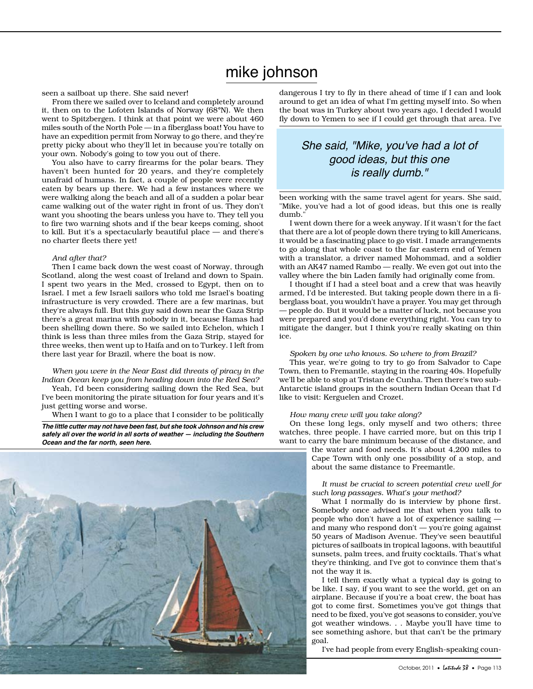## mike johnson

seen a sailboat up there. She said never!

From there we sailed over to Iceland and completely around it, then on to the Lofoten Islands of Norway (68*°*N). We then went to Spitzbergen. I think at that point we were about 460 miles south of the North Pole — in a fiberglass boat! You have to have an expedition permit from Norway to go there, and they're pretty picky about who they'll let in because you're totally on your own. Nobody's going to tow you out of there.

You also have to carry firearms for the polar bears. They haven't been hunted for 20 years, and they're completely unafraid of humans. In fact, a couple of people were recently eaten by bears up there. We had a few instances where we were walking along the beach and all of a sudden a polar bear came walking out of the water right in front of us. They don't want you shooting the bears unless you have to. They tell you to fire two warning shots and if the bear keeps coming, shoot to kill. But it's a spectacularly beautiful place — and there's no charter fleets there yet!

### *And after that?*

Then I came back down the west coast of Norway, through Scotland, along the west coast of Ireland and down to Spain. I spent two years in the Med, crossed to Egypt, then on to Israel. I met a few Israeli sailors who told me Israel's boating infrastructure is very crowded. There are a few marinas, but they're always full. But this guy said down near the Gaza Strip there's a great marina with nobody in it, because Hamas had been shelling down there. So we sailed into Echelon, which I think is less than three miles from the Gaza Strip, stayed for three weeks, then went up to Haifa and on to Turkey. I left from there last year for Brazil, where the boat is now.

### *When you were in the Near East did threats of piracy in the Indian Ocean keep you from heading down into the Red Sea?*

Yeah, I'd been considering sailing down the Red Sea, but I've been monitoring the pirate situation for four years and it's just getting worse and worse.

When I want to go to a place that I consider to be politically

*The little cutter may not have been fast, but she took Johnson and his crew safely all over the world in all sorts of weather — including the Southern Ocean and the far north, seen here.*



dangerous I try to fly in there ahead of time if I can and look around to get an idea of what I'm getting myself into. So when the boat was in Turkey about two years ago, I decided I would fly down to Yemen to see if I could get through that area. I've

### She said, "Mike, you've had a lot of good ideas, but this one is really dumb."

been working with the same travel agent for years. She said, "Mike, you've had a lot of good ideas, but this one is really dumb."

I went down there for a week anyway. If it wasn't for the fact that there are a lot of people down there trying to kill Americans, it would be a fascinating place to go visit. I made arrangements to go along that whole coast to the far eastern end of Yemen with a translator, a driver named Mohommad, and a soldier with an AK47 named Rambo — really. We even got out into the valley where the bin Laden family had originally come from.

I thought if I had a steel boat and a crew that was heavily armed, I'd be interested. But taking people down there in a fiberglass boat, you wouldn't have a prayer. You may get through — people do. But it would be a matter of luck, not because you were prepared and you'd done everything right. You can try to mitigate the danger, but I think you're really skating on thin ice.

### *Spoken by one who knows. So where to from Brazil?*

This year, we're going to try to go from Salvador to Cape Town, then to Fremantle, staying in the roaring 40s. Hopefully we'll be able to stop at Tristan de Cunha. Then there's two sub-Antarctic island groups in the southern Indian Ocean that I'd like to visit: Kerguelen and Crozet.

#### *How many crew will you take along?*

On these long legs, only myself and two others; three watches, three people. I have carried more, but on this trip I want to carry the bare minimum because of the distance, and

the water and food needs. It's about 4,200 miles to Cape Town with only one possibility of a stop, and about the same distance to Freemantle.

*It must be crucial to screen potential crew well for such long passages. What's your method?*

What I normally do is interview by phone first. Somebody once advised me that when you talk to people who don't have a lot of experience sailing and many who respond don't — you're going against 50 years of Madison Avenue. They've seen beautiful pictures of sailboats in tropical lagoons, with beautiful sunsets, palm trees, and fruity cocktails. That's what they're thinking, and I've got to convince them that's not the way it is.

I tell them exactly what a typical day is going to be like. I say, if you want to see the world, get on an airplane. Because if you're a boat crew, the boat has got to come first. Sometimes you've got things that need to be fixed, you've got seasons to consider, you've got weather windows. . . Maybe you'll have time to see something ashore, but that can't be the primary goal.

I've had people from every English-speaking coun-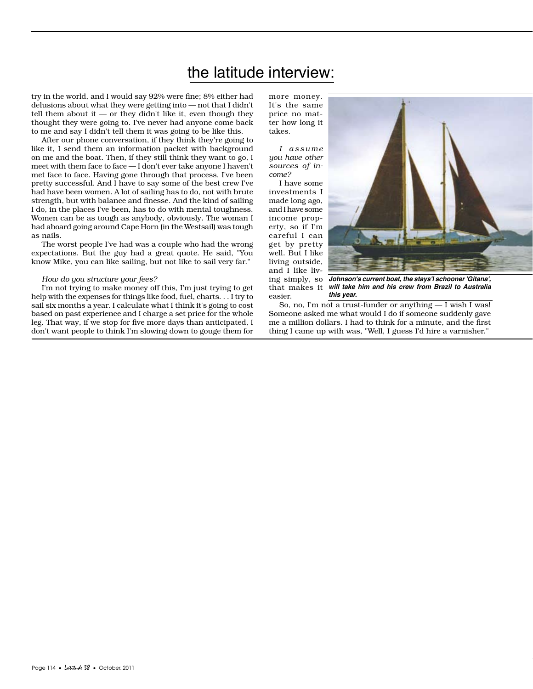# the latitude interview:

try in the world, and I would say 92% were fine; 8% either had delusions about what they were getting into — not that I didn't tell them about it  $-$  or they didn't like it, even though they thought they were going to. I've never had anyone come back to me and say I didn't tell them it was going to be like this.

After our phone conversation, if they think they're going to like it, I send them an information packet with background on me and the boat. Then, if they still think they want to go, I meet with them face to face — I don't ever take anyone I haven't met face to face. Having gone through that process, I've been pretty successful. And I have to say some of the best crew I've had have been women. A lot of sailing has to do, not with brute strength, but with balance and finesse. And the kind of sailing I do, in the places I've been, has to do with mental toughness. Women can be as tough as anybody, obviously. The woman I had aboard going around Cape Horn (in the Westsail) was tough as nails.

The worst people I've had was a couple who had the wrong expectations. But the guy had a great quote. He said, "You know Mike, you can like sailing, but not like to sail very far."

#### *How do you structure your fees?*

I'm not trying to make money off this, I'm just trying to get help with the expenses for things like food, fuel, charts. . . I try to sail six months a year. I calculate what I think it's going to cost based on past experience and I charge a set price for the whole leg. That way, if we stop for five more days than anticipated, I don't want people to think I'm slowing down to gouge them for

more money. It's the same price no matter how long it takes.

*I a s s u m e you have other sources of income?*

I have some investments I made long ago, and I have some income property, so if I'm careful I can get by pretty well. But I like living outside, and I like liv-

that makes it

easier.



ing simply, so *Johnson's current boat, the stays'l schooner 'Gitana', will take him and his crew from Brazil to Australia this year.*

So, no, I'm not a trust-funder or anything — I wish I was! Someone asked me what would I do if someone suddenly gave me a million dollars. I had to think for a minute, and the first thing I came up with was, "Well, I guess I'd hire a varnisher."